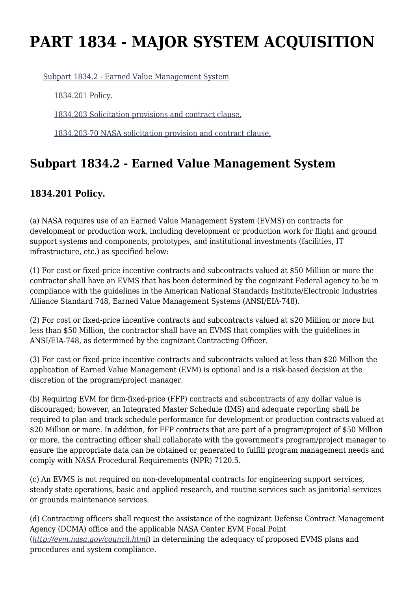# **PART 1834 - MAJOR SYSTEM ACQUISITION**

[Subpart 1834.2 - Earned Value Management System](https://login.acquisition.gov/%5Brp:link:nfs-part-1834%5D#Subpart_1834_2_T48_60421281)

[1834.201 Policy.](https://login.acquisition.gov/%5Brp:link:nfs-part-1834%5D#Section_1834_201_T48_6042128111)

[1834.203 Solicitation provisions and contract clause.](https://login.acquisition.gov/%5Brp:link:nfs-part-1834%5D#Section_1834_203_T48_6042128112)

[1834.203-70 NASA solicitation provision and contract clause.](https://login.acquisition.gov/%5Brp:link:nfs-part-1834%5D#Section_1834_203_70_T48_6042128113)

# **Subpart 1834.2 - Earned Value Management System**

#### **1834.201 Policy.**

(a) NASA requires use of an Earned Value Management System (EVMS) on contracts for development or production work, including development or production work for flight and ground support systems and components, prototypes, and institutional investments (facilities, IT infrastructure, etc.) as specified below:

(1) For cost or fixed-price incentive contracts and subcontracts valued at \$50 Million or more the contractor shall have an EVMS that has been determined by the cognizant Federal agency to be in compliance with the guidelines in the American National Standards Institute/Electronic Industries Alliance Standard 748, Earned Value Management Systems (ANSI/EIA-748).

(2) For cost or fixed-price incentive contracts and subcontracts valued at \$20 Million or more but less than \$50 Million, the contractor shall have an EVMS that complies with the guidelines in ANSI/EIA-748, as determined by the cognizant Contracting Officer.

(3) For cost or fixed-price incentive contracts and subcontracts valued at less than \$20 Million the application of Earned Value Management (EVM) is optional and is a risk-based decision at the discretion of the program/project manager.

(b) Requiring EVM for firm-fixed-price (FFP) contracts and subcontracts of any dollar value is discouraged; however, an Integrated Master Schedule (IMS) and adequate reporting shall be required to plan and track schedule performance for development or production contracts valued at \$20 Million or more. In addition, for FFP contracts that are part of a program/project of \$50 Million or more, the contracting officer shall collaborate with the government's program/project manager to ensure the appropriate data can be obtained or generated to fulfill program management needs and comply with NASA Procedural Requirements (NPR) 7120.5.

(c) An EVMS is not required on non-developmental contracts for engineering support services, steady state operations, basic and applied research, and routine services such as janitorial services or grounds maintenance services.

(d) Contracting officers shall request the assistance of the cognizant Defense Contract Management Agency (DCMA) office and the applicable NASA Center EVM Focal Point (*<http://evm.nasa.gov/council.html>*) in determining the adequacy of proposed EVMS plans and procedures and system compliance.